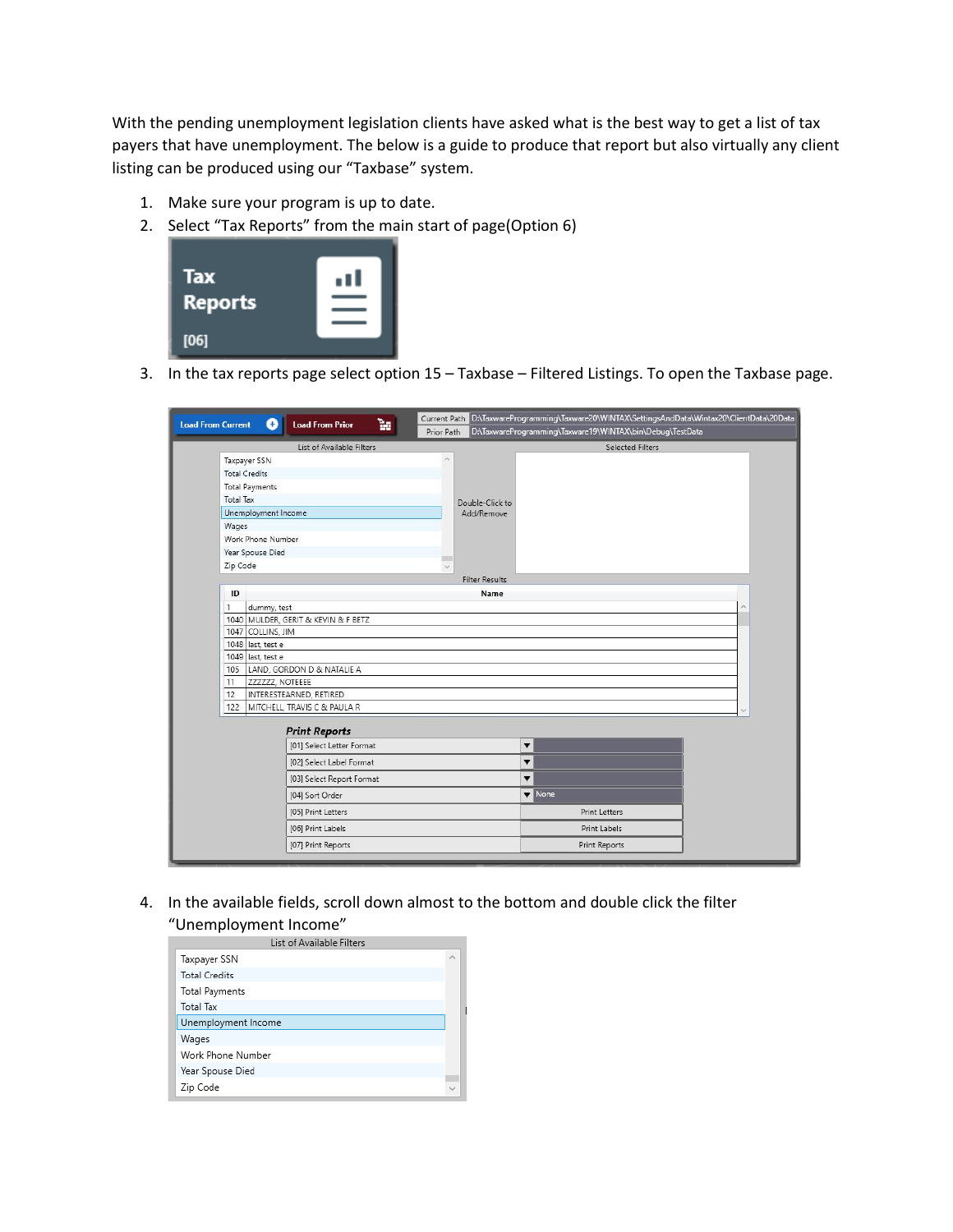With the pending unemployment legislation clients have asked what is the best way to get a list of tax payers that have unemployment. The below is a guide to produce that report but also virtually any client listing can be produced using our "Taxbase" system.

- 1. Make sure your program is up to date.
- 2. Select "Tax Reports" from the main start of page(Option 6)

| Tax            | ٥U |
|----------------|----|
| <b>Reports</b> |    |
|                |    |
| [06]           |    |

3. In the tax reports page select option 15 – Taxbase – Filtered Listings. To open the Taxbase page.

| D:\TaxwareProgramming\Taxware20\WINTAX\SettingsAndData\Wintax20\ClientData\20Data<br>Current Path<br>ħ<br><b>Load From Current</b><br>O<br><b>Load From Prior</b><br>D:\TaxwareProgramming\Taxware19\WINTAX\bin\Debug\TestData<br>Prior Path |                                                   |                           |  |  |  |
|----------------------------------------------------------------------------------------------------------------------------------------------------------------------------------------------------------------------------------------------|---------------------------------------------------|---------------------------|--|--|--|
| List of Available Filters<br><b>Selected Filters</b>                                                                                                                                                                                         |                                                   |                           |  |  |  |
|                                                                                                                                                                                                                                              | Taxpayer SSN                                      | $\sim$                    |  |  |  |
|                                                                                                                                                                                                                                              | <b>Total Credits</b>                              |                           |  |  |  |
|                                                                                                                                                                                                                                              | <b>Total Payments</b>                             |                           |  |  |  |
| <b>Total Tax</b>                                                                                                                                                                                                                             |                                                   | Double-Click to           |  |  |  |
|                                                                                                                                                                                                                                              | Unemployment Income                               | Add/Remove                |  |  |  |
| Wages                                                                                                                                                                                                                                        |                                                   |                           |  |  |  |
|                                                                                                                                                                                                                                              | Work Phone Number                                 |                           |  |  |  |
|                                                                                                                                                                                                                                              | Year Spouse Died                                  | π                         |  |  |  |
| Zip Code                                                                                                                                                                                                                                     |                                                   | $\backsim$                |  |  |  |
|                                                                                                                                                                                                                                              |                                                   | <b>Filter Results</b>     |  |  |  |
| ID                                                                                                                                                                                                                                           |                                                   | Name                      |  |  |  |
| 1                                                                                                                                                                                                                                            | dummy, test                                       |                           |  |  |  |
|                                                                                                                                                                                                                                              | 1040 MULDER, GERIT & KEVIN & F BETZ               |                           |  |  |  |
|                                                                                                                                                                                                                                              | 1047 COLLINS, JIM                                 |                           |  |  |  |
|                                                                                                                                                                                                                                              | 1048 last, test e                                 |                           |  |  |  |
|                                                                                                                                                                                                                                              | 1049 last, test e                                 |                           |  |  |  |
| 11                                                                                                                                                                                                                                           | 105 LAND, GORDON D & NATALIE A<br>ZZZZZZ, NOTEEEE |                           |  |  |  |
| 12                                                                                                                                                                                                                                           | INTERESTEARNED, RETIRED                           |                           |  |  |  |
| 122                                                                                                                                                                                                                                          | MITCHELL, TRAVIS C & PAULA R                      |                           |  |  |  |
|                                                                                                                                                                                                                                              |                                                   |                           |  |  |  |
|                                                                                                                                                                                                                                              | <b>Print Reports</b>                              |                           |  |  |  |
|                                                                                                                                                                                                                                              | [01] Select Letter Format                         | ▼                         |  |  |  |
|                                                                                                                                                                                                                                              | [02] Select Label Format                          | ▼                         |  |  |  |
|                                                                                                                                                                                                                                              | [03] Select Report Format                         | $\overline{\mathbf{v}}$   |  |  |  |
|                                                                                                                                                                                                                                              | [04] Sort Order                                   | $\blacktriangledown$ None |  |  |  |
|                                                                                                                                                                                                                                              | [05] Print Letters                                | <b>Print Letters</b>      |  |  |  |
|                                                                                                                                                                                                                                              | [06] Print Labels                                 | Print Labels              |  |  |  |
|                                                                                                                                                                                                                                              | [07] Print Reports                                | Print Reports             |  |  |  |

4. In the available fields, scroll down almost to the bottom and double click the filter "Unemployment Income"

| List of Available Filters |                             |  |
|---------------------------|-----------------------------|--|
| Taxpayer SSN              | $\mathcal{L}_{\mathcal{N}}$ |  |
| <b>Total Credits</b>      |                             |  |
| <b>Total Payments</b>     |                             |  |
| <b>Total Tax</b>          |                             |  |
| Unemployment Income       |                             |  |
| Wages                     |                             |  |
| Work Phone Number         |                             |  |
| Year Spouse Died          |                             |  |
| Zip Code                  |                             |  |